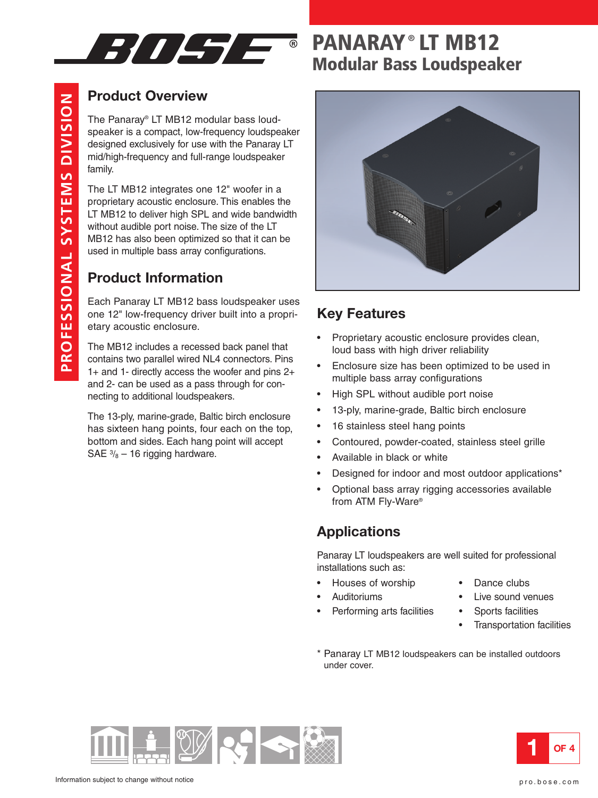

# **Product Overview**

The Panaray® LT MB12 modular bass loudspeaker is a compact, low-frequency loudspeaker designed exclusively for use with the Panaray LT mid/high-frequency and full-range loudspeaker family.

The LT MB12 integrates one 12" woofer in a proprietary acoustic enclosure. This enables the LT MB12 to deliver high SPL and wide bandwidth without audible port noise. The size of the LT MB12 has also been optimized so that it can be used in multiple bass array configurations.

# **Product Information**

**PR O F E** <u>ທ</u> **SIO N A L** <u>ທ</u> **Y** <u>ທ</u>  $\blacksquare$ **E** <u>Σ</u> <u>ທ</u>

**DIVISIO**

**N**

Each Panaray LT MB12 bass loudspeaker uses one 12" low-frequency driver built into a proprietary acoustic enclosure.

The MB12 includes a recessed back panel that contains two parallel wired NL4 connectors. Pins 1+ and 1- directly access the woofer and pins 2+ and 2- can be used as a pass through for connecting to additional loudspeakers.

The 13-ply, marine-grade, Baltic birch enclosure has sixteen hang points, four each on the top, bottom and sides. Each hang point will accept SAE  $\frac{3}{8}$  – 16 rigging hardware.

# **PANARAY ® LT MB12 Modular Bass Loudspeaker**



### **Key Features**

- Proprietary acoustic enclosure provides clean, loud bass with high driver reliability
- Enclosure size has been optimized to be used in multiple bass array configurations
- High SPL without audible port noise
- 13-ply, marine-grade, Baltic birch enclosure
- 16 stainless steel hang points
- Contoured, powder-coated, stainless steel grille
- Available in black or white
- Designed for indoor and most outdoor applications\*
- Optional bass array rigging accessories available from ATM Fly-Ware®

### **Applications**

Panaray LT loudspeakers are well suited for professional installations such as:

- Houses of worship Dance clubs
- 
- Performing arts facilities Sports facilities
- 
- Auditoriums Live sound venues
	-
	- Transportation facilities
- \* Panaray LT MB12 loudspeakers can be installed outdoors under cover.



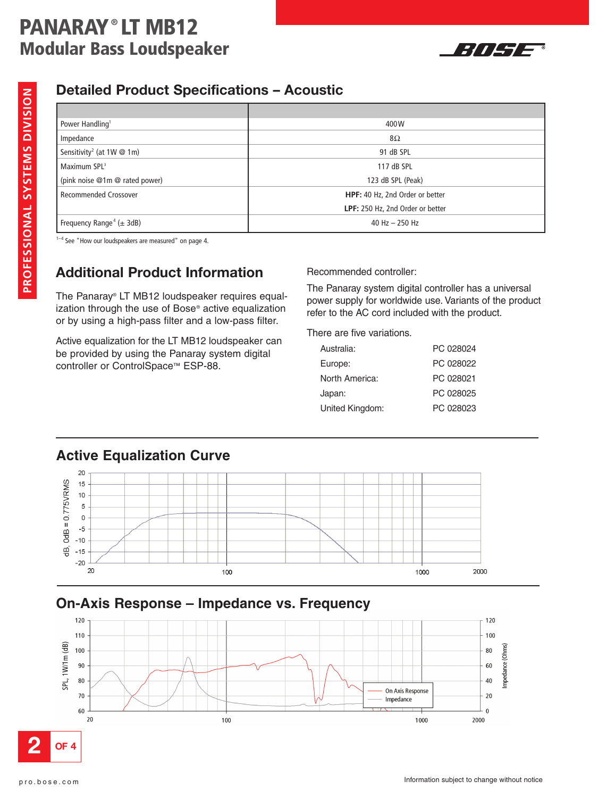# **PANARAY ® LT MB12 Modular Bass Loudspeaker**



#### **PR OFE S SIO N A L** <u>ທ</u> **Y** <u>ທ</u> **T E M** <u>ທ</u> **DIVISIO N**

### **Detailed Product Specifications – Acoustic**

| Power Handling <sup>1</sup>                | 400W                             |
|--------------------------------------------|----------------------------------|
| Impedance                                  | 8Ω                               |
| Sensitivity <sup>2</sup> (at $1W \tQ 1m$ ) | 91 dB SPL                        |
| Maximum SPL <sup>3</sup>                   | 117 dB SPL                       |
| (pink noise @1m @ rated power)             | 123 dB SPL (Peak)                |
| <b>Recommended Crossover</b>               | HPF: 40 Hz, 2nd Order or better  |
|                                            | LPF: 250 Hz, 2nd Order or better |
| Frequency Range <sup>4</sup> ( $\pm$ 3dB)  | 40 Hz $-$ 250 Hz                 |

 $1-4$  See "How our loudspeakers are measured" on page 4.

# **Additional Product Information**

The Panaray® LT MB12 loudspeaker requires equalization through the use of Bose® active equalization or by using a high-pass filter and a low-pass filter.

Active equalization for the LT MB12 loudspeaker can be provided by using the Panaray system digital controller or ControlSpace™ ESP-88.

Recommended controller:

The Panaray system digital controller has a universal power supply for worldwide use. Variants of the product refer to the AC cord included with the product.

There are five variations.

| Australia:      | PC 028024 |
|-----------------|-----------|
| Europe:         | PC 028022 |
| North America:  | PC 028021 |
| Japan:          | PC 028025 |
| United Kingdom: | PC 028023 |
|                 |           |

## **Active Equalization Curve**



### **On-Axis Response – Impedance vs. Frequency**

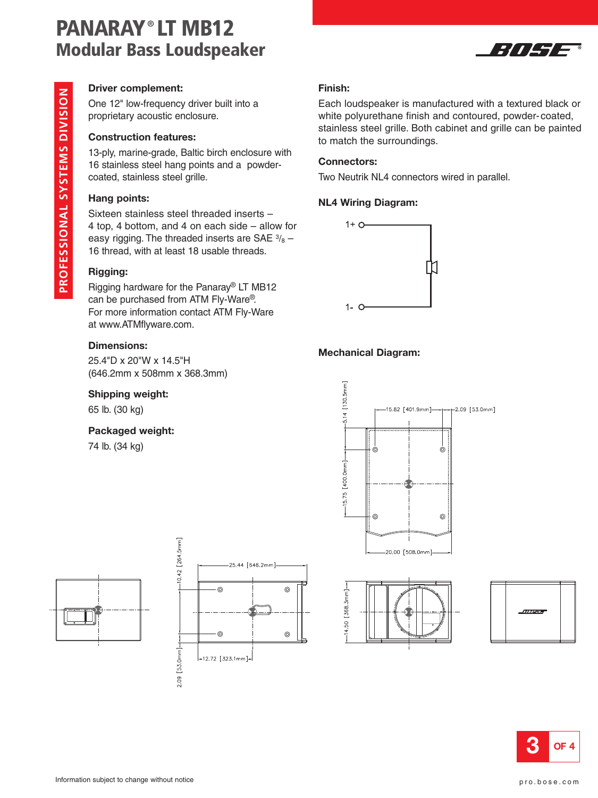# **PANARAY ® LT MB12 Modular Bass Loudspeaker**



#### **Driver complement:**

One 12" low-frequency driver built into a proprietary acoustic enclosure.

#### **Construction features:**

13-ply, marine-grade, Baltic birch enclosure with 16 stainless steel hang points and a powdercoated, stainless steel grille.

#### **Hang points:**

Sixteen stainless steel threaded inserts – 4 top, 4 bottom, and 4 on each side – allow for easy rigging. The threaded inserts are SAE  $\frac{3}{8}$  – 16 thread, with at least 18 usable threads.

#### **Rigging:**

Rigging hardware for the Panaray® LT MB12 can be purchased from ATM Fly-Ware®. For more information contact ATM Fly-Ware at www.ATMflyware.com.

#### **Dimensions:**

25.4"D x 20"W x 14.5"H (646.2mm x 508mm x 368.3mm)

#### **Shipping weight:**

65 lb. (30 kg)

#### **Packaged weight:**

74 lb. (34 kg)





#### **Finish:**

Each loudspeaker is manufactured with a textured black or white polyurethane finish and contoured, powder-coated, stainless steel grille. Both cabinet and grille can be painted to match the surroundings.

#### **Connectors:**

Two Neutrik NL4 connectors wired in parallel.

#### **NL4 Wiring Diagram:**



#### **Mechanical Diagram:**